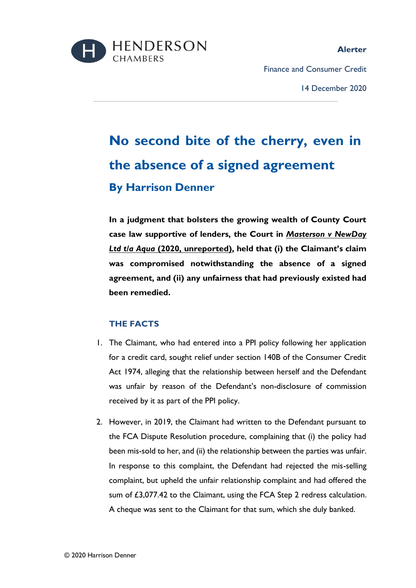

#### **Alerter**

Finance and Consumer Credit

14 December 2020

# **No second bite of the cherry, even in the absence of a signed agreement By Harrison Denner**

**In a judgment that bolsters the growing wealth of County Court case law supportive of lenders, the Court in** *Masterson v NewDay Ltd t/a Aqua* **(2020, unreported), held that (i) the Claimant's claim was compromised notwithstanding the absence of a signed agreement, and (ii) any unfairness that had previously existed had been remedied.**

## **THE FACTS**

- 1. The Claimant, who had entered into a PPI policy following her application for a credit card, sought relief under section 140B of the Consumer Credit Act 1974, alleging that the relationship between herself and the Defendant was unfair by reason of the Defendant's non-disclosure of commission received by it as part of the PPI policy.
- 2. However, in 2019, the Claimant had written to the Defendant pursuant to the FCA Dispute Resolution procedure, complaining that (i) the policy had been mis-sold to her, and (ii) the relationship between the parties was unfair. In response to this complaint, the Defendant had rejected the mis-selling complaint, but upheld the unfair relationship complaint and had offered the sum of £3,077.42 to the Claimant, using the FCA Step 2 redress calculation. A cheque was sent to the Claimant for that sum, which she duly banked.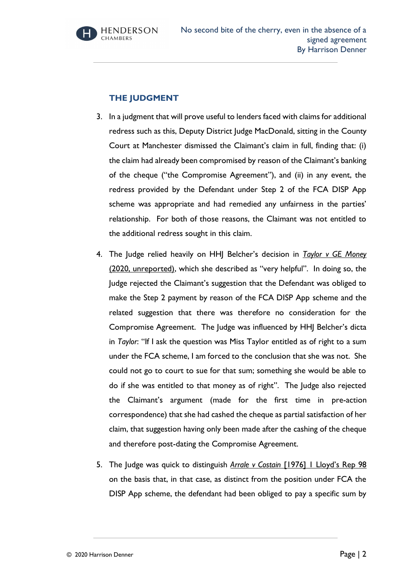

### **THE JUDGMENT**

- 3. In a judgment that will prove useful to lenders faced with claims for additional redress such as this, Deputy District Judge MacDonald, sitting in the County Court at Manchester dismissed the Claimant's claim in full, finding that: (i) the claim had already been compromised by reason of the Claimant's banking of the cheque ("the Compromise Agreement"), and (ii) in any event, the redress provided by the Defendant under Step 2 of the FCA DISP App scheme was appropriate and had remedied any unfairness in the parties' relationship. For both of those reasons, the Claimant was not entitled to the additional redress sought in this claim.
- 4. The Judge relied heavily on HHJ Belcher's decision in *Taylor v GE Money* (2020, unreported), which she described as "very helpful". In doing so, the Judge rejected the Claimant's suggestion that the Defendant was obliged to make the Step 2 payment by reason of the FCA DISP App scheme and the related suggestion that there was therefore no consideration for the Compromise Agreement. The Judge was influenced by HHJ Belcher's dicta in *Taylor*: "If I ask the question was Miss Taylor entitled as of right to a sum under the FCA scheme, I am forced to the conclusion that she was not. She could not go to court to sue for that sum; something she would be able to do if she was entitled to that money as of right". The Judge also rejected the Claimant's argument (made for the first time in pre-action correspondence) that she had cashed the cheque as partial satisfaction of her claim, that suggestion having only been made after the cashing of the cheque and therefore post-dating the Compromise Agreement.
- 5. The Judge was quick to distinguish *Arrale v Costain* [1976] 1 Lloyd's Rep 98 on the basis that, in that case, as distinct from the position under FCA the DISP App scheme, the defendant had been obliged to pay a specific sum by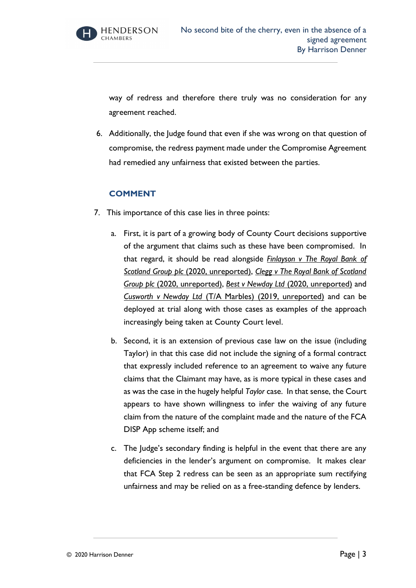

way of redress and therefore there truly was no consideration for any agreement reached.

6. Additionally, the Judge found that even if she was wrong on that question of compromise, the redress payment made under the Compromise Agreement had remedied any unfairness that existed between the parties.

### **COMMENT**

- 7. This importance of this case lies in three points:
	- a. First, it is part of a growing body of County Court decisions supportive of the argument that claims such as these have been compromised. In that regard, it should be read alongside *Finlayson v The Royal Bank of Scotland Group plc* (2020, unreported), *Clegg v The Royal Bank of Scotland Group plc* (2020, unreported), *Best v Newday Ltd* (2020, unreported) and *Cusworth v Newday Ltd* (T/A Marbles) (2019, unreported) and can be deployed at trial along with those cases as examples of the approach increasingly being taken at County Court level.
	- b. Second, it is an extension of previous case law on the issue (including Taylor) in that this case did not include the signing of a formal contract that expressly included reference to an agreement to waive any future claims that the Claimant may have, as is more typical in these cases and as was the case in the hugely helpful *Taylor* case. In that sense, the Court appears to have shown willingness to infer the waiving of any future claim from the nature of the complaint made and the nature of the FCA DISP App scheme itself; and
	- c. The Judge's secondary finding is helpful in the event that there are any deficiencies in the lender's argument on compromise. It makes clear that FCA Step 2 redress can be seen as an appropriate sum rectifying unfairness and may be relied on as a free-standing defence by lenders.